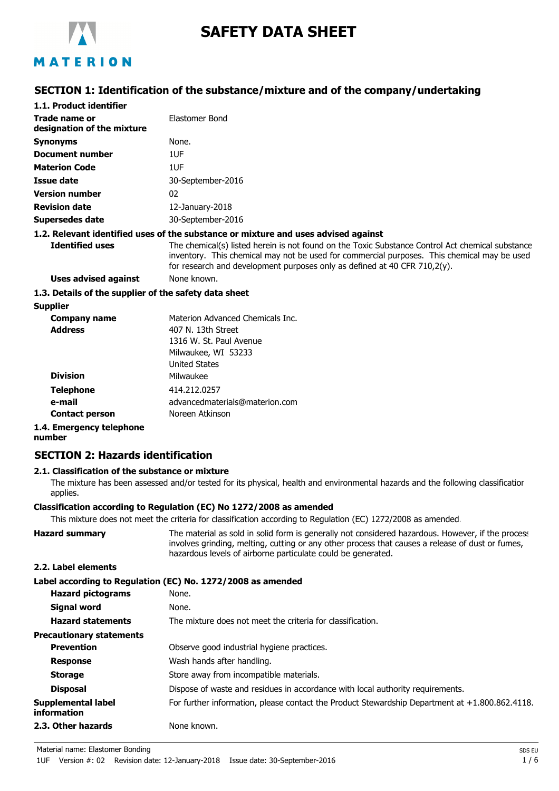

# **SAFETY DATA SHEET**

## MATERION

## **SECTION 1: Identification of the substance/mixture and of the company/undertaking**

| 1.1. Product identifier                               |                                                                                                                                                                                                                                                                                 |
|-------------------------------------------------------|---------------------------------------------------------------------------------------------------------------------------------------------------------------------------------------------------------------------------------------------------------------------------------|
| Trade name or<br>designation of the mixture           | Elastomer Bond                                                                                                                                                                                                                                                                  |
| <b>Synonyms</b>                                       | None.                                                                                                                                                                                                                                                                           |
| <b>Document number</b>                                | 1UF                                                                                                                                                                                                                                                                             |
| <b>Materion Code</b>                                  | 1UF                                                                                                                                                                                                                                                                             |
| Issue date                                            | 30-September-2016                                                                                                                                                                                                                                                               |
| <b>Version number</b>                                 | 02                                                                                                                                                                                                                                                                              |
| <b>Revision date</b>                                  | 12-January-2018                                                                                                                                                                                                                                                                 |
| Supersedes date                                       | 30-September-2016                                                                                                                                                                                                                                                               |
|                                                       | 1.2. Relevant identified uses of the substance or mixture and uses advised against                                                                                                                                                                                              |
| <b>Identified uses</b>                                | The chemical(s) listed herein is not found on the Toxic Substance Control Act chemical substance<br>inventory. This chemical may not be used for commercial purposes. This chemical may be used<br>for research and development purposes only as defined at 40 CFR $710,2(y)$ . |
| <b>Uses advised against</b>                           | None known.                                                                                                                                                                                                                                                                     |
| 1.3. Details of the supplier of the safety data sheet |                                                                                                                                                                                                                                                                                 |

**Supplier**

| Company name             | Materion Advanced Chemicals Inc. |
|--------------------------|----------------------------------|
| <b>Address</b>           | 407 N. 13th Street               |
|                          | 1316 W. St. Paul Avenue          |
|                          | Milwaukee, WI 53233              |
|                          | <b>United States</b>             |
| <b>Division</b>          | Milwaukee                        |
| <b>Telephone</b>         | 414.212.0257                     |
| e-mail                   | advancedmaterials@materion.com   |
| <b>Contact person</b>    | Noreen Atkinson                  |
| 1.4. Emergency telephone |                                  |

**number**

## **SECTION 2: Hazards identification**

## **2.1. Classification of the substance or mixture**

The mixture has been assessed and/or tested for its physical, health and environmental hazards and the following classification applies.

#### **Classification according to Regulation (EC) No 1272/2008 as amended**

This mixture does not meet the criteria for classification according to Regulation (EC) 1272/2008 as amended.

Hazard summary The material as sold in solid form is generally not considered hazardous. However, if the process involves grinding, melting, cutting or any other process that causes a release of dust or fumes, hazardous levels of airborne particulate could be generated.

#### **2.2. Label elements**

|                                                 | Label according to Regulation (EC) No. 1272/2008 as amended                                       |
|-------------------------------------------------|---------------------------------------------------------------------------------------------------|
| <b>Hazard pictograms</b>                        | None.                                                                                             |
| Signal word                                     | None.                                                                                             |
| <b>Hazard statements</b>                        | The mixture does not meet the criteria for classification.                                        |
| <b>Precautionary statements</b>                 |                                                                                                   |
| <b>Prevention</b>                               | Observe good industrial hygiene practices.                                                        |
| <b>Response</b>                                 | Wash hands after handling.                                                                        |
| <b>Storage</b>                                  | Store away from incompatible materials.                                                           |
| <b>Disposal</b>                                 | Dispose of waste and residues in accordance with local authority requirements.                    |
| <b>Supplemental label</b><br><b>information</b> | For further information, please contact the Product Stewardship Department at $+1.800.862.4118$ . |
| 2.3. Other hazards                              | None known.                                                                                       |

Material name: Elastomer Bonding SDS EU and the SDS EU and the SDS EU and the SDS EU and the SDS EU and the SDS EU and the SDS EU and the SDS EU and the SDS EU and the SDS EU and the SDS EU and the SDS EU and the SDS EU an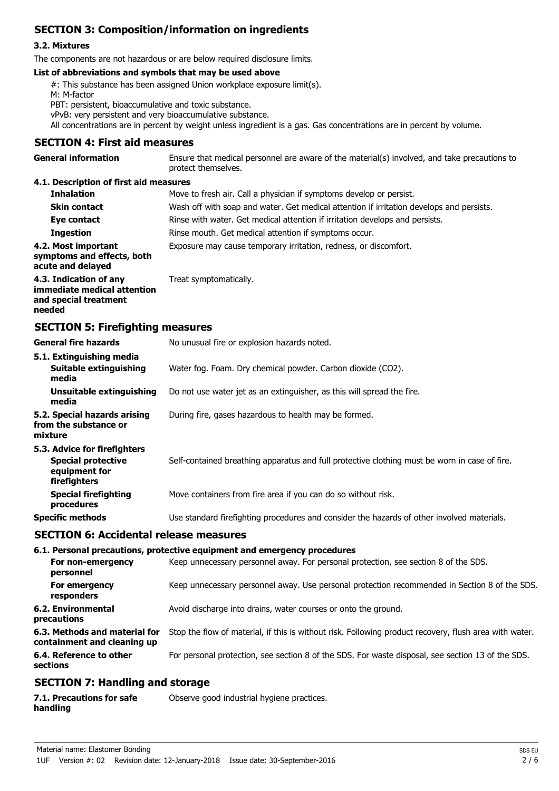## **SECTION 3: Composition/information on ingredients**

## **3.2. Mixtures**

The components are not hazardous or are below required disclosure limits.

#### **List of abbreviations and symbols that may be used above**

#: This substance has been assigned Union workplace exposure limit(s).

M: M-factor

PBT: persistent, bioaccumulative and toxic substance.

vPvB: very persistent and very bioaccumulative substance.

All concentrations are in percent by weight unless ingredient is a gas. Gas concentrations are in percent by volume.

#### **SECTION 4: First aid measures**

| <b>General information</b>             | Ensure that medical personnel are aware of the material(s) involved, and take precautions to<br>protect themselves. |
|----------------------------------------|---------------------------------------------------------------------------------------------------------------------|
| 4.1. Description of first aid measures |                                                                                                                     |
| <b>Inhalation</b>                      | Move to fresh air. Call a physician if symptoms develop or persist.                                                 |

| wwaldwii                                                                                 | <u>PUVE</u> to HESIT all. Call a physicial if symptoms develop of persist.               |
|------------------------------------------------------------------------------------------|------------------------------------------------------------------------------------------|
| <b>Skin contact</b>                                                                      | Wash off with soap and water. Get medical attention if irritation develops and persists. |
| Eye contact                                                                              | Rinse with water. Get medical attention if irritation develops and persists.             |
| <b>Ingestion</b>                                                                         | Rinse mouth. Get medical attention if symptoms occur.                                    |
| 4.2. Most important<br>symptoms and effects, both<br>acute and delayed                   | Exposure may cause temporary irritation, redness, or discomfort.                         |
| 4.3. Indication of any<br>immediate medical attention<br>and special treatment<br>needed | Treat symptomatically.                                                                   |

#### **SECTION 5: Firefighting measures**

| <b>General fire hazards</b>                                                                | No unusual fire or explosion hazards noted.                                                   |
|--------------------------------------------------------------------------------------------|-----------------------------------------------------------------------------------------------|
| 5.1. Extinguishing media<br>Suitable extinguishing<br>media                                | Water fog. Foam. Dry chemical powder. Carbon dioxide (CO2).                                   |
| Unsuitable extinguishing<br>media                                                          | Do not use water jet as an extinguisher, as this will spread the fire.                        |
| 5.2. Special hazards arising<br>from the substance or<br>mixture                           | During fire, gases hazardous to health may be formed.                                         |
| 5.3. Advice for firefighters<br><b>Special protective</b><br>equipment for<br>firefighters | Self-contained breathing apparatus and full protective clothing must be worn in case of fire. |
| <b>Special firefighting</b><br>procedures                                                  | Move containers from fire area if you can do so without risk.                                 |
| <b>Specific methods</b>                                                                    | Use standard firefighting procedures and consider the hazards of other involved materials.    |
| <b>SECTION 6: Accidental release measures</b>                                              |                                                                                               |

#### **6.1. Personal precautions, protective equipment and emergency procedures**

| For non-emergency<br>personnel                               | Keep unnecessary personnel away. For personal protection, see section 8 of the SDS.                    |
|--------------------------------------------------------------|--------------------------------------------------------------------------------------------------------|
| For emergency<br>responders                                  | Keep unnecessary personnel away. Use personal protection recommended in Section 8 of the SDS.          |
| 6.2. Environmental<br>precautions                            | Avoid discharge into drains, water courses or onto the ground.                                         |
| 6.3. Methods and material for<br>containment and cleaning up | Stop the flow of material, if this is without risk. Following product recovery, flush area with water. |
| 6.4. Reference to other<br>sections                          | For personal protection, see section 8 of the SDS. For waste disposal, see section 13 of the SDS.      |

## **SECTION 7: Handling and storage**

| 7.1. Precautions for safe | Observe good industrial hygiene practices. |  |
|---------------------------|--------------------------------------------|--|
| handling                  |                                            |  |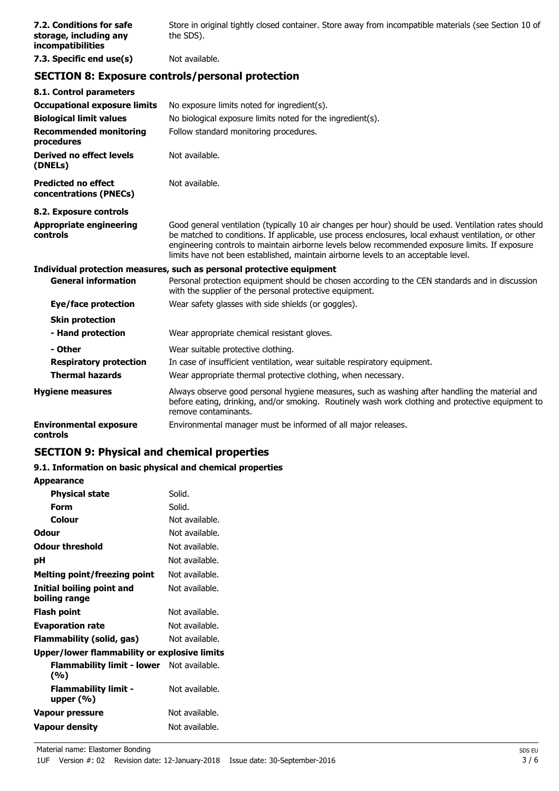| 7.2. Conditions for safe<br>storage, including any<br><i>incompatibilities</i> | Store in original tightly closed container. Store away from incompatible materials (see Section 10 of<br>the SDS). |
|--------------------------------------------------------------------------------|--------------------------------------------------------------------------------------------------------------------|
| 7.3. Specific end use(s)                                                       | Not available.                                                                                                     |

## **SECTION 8: Exposure controls/personal protection**

| 8.1. Control parameters                              |                                                                                                                                                                                                                                                                                                                                                                                                        |
|------------------------------------------------------|--------------------------------------------------------------------------------------------------------------------------------------------------------------------------------------------------------------------------------------------------------------------------------------------------------------------------------------------------------------------------------------------------------|
| <b>Occupational exposure limits</b>                  | No exposure limits noted for ingredient(s).                                                                                                                                                                                                                                                                                                                                                            |
| <b>Biological limit values</b>                       | No biological exposure limits noted for the ingredient(s).                                                                                                                                                                                                                                                                                                                                             |
| <b>Recommended monitoring</b><br>procedures          | Follow standard monitoring procedures.                                                                                                                                                                                                                                                                                                                                                                 |
| Derived no effect levels<br>(DNELs)                  | Not available.                                                                                                                                                                                                                                                                                                                                                                                         |
| <b>Predicted no effect</b><br>concentrations (PNECs) | Not available.                                                                                                                                                                                                                                                                                                                                                                                         |
| 8.2. Exposure controls                               |                                                                                                                                                                                                                                                                                                                                                                                                        |
| <b>Appropriate engineering</b><br>controls           | Good general ventilation (typically 10 air changes per hour) should be used. Ventilation rates should<br>be matched to conditions. If applicable, use process enclosures, local exhaust ventilation, or other<br>engineering controls to maintain airborne levels below recommended exposure limits. If exposure<br>limits have not been established, maintain airborne levels to an acceptable level. |
|                                                      | Individual protection measures, such as personal protective equipment                                                                                                                                                                                                                                                                                                                                  |
| <b>General information</b>                           | Personal protection equipment should be chosen according to the CEN standards and in discussion<br>with the supplier of the personal protective equipment.                                                                                                                                                                                                                                             |
| Eye/face protection                                  | Wear safety glasses with side shields (or goggles).                                                                                                                                                                                                                                                                                                                                                    |
| <b>Skin protection</b>                               |                                                                                                                                                                                                                                                                                                                                                                                                        |
| - Hand protection                                    | Wear appropriate chemical resistant gloves.                                                                                                                                                                                                                                                                                                                                                            |
| - Other                                              | Wear suitable protective clothing.                                                                                                                                                                                                                                                                                                                                                                     |
| <b>Respiratory protection</b>                        | In case of insufficient ventilation, wear suitable respiratory equipment.                                                                                                                                                                                                                                                                                                                              |
| <b>Thermal hazards</b>                               | Wear appropriate thermal protective clothing, when necessary.                                                                                                                                                                                                                                                                                                                                          |
| <b>Hygiene measures</b>                              | Always observe good personal hygiene measures, such as washing after handling the material and<br>before eating, drinking, and/or smoking. Routinely wash work clothing and protective equipment to<br>remove contaminants.                                                                                                                                                                            |
| <b>Environmental exposure</b><br>controls            | Environmental manager must be informed of all major releases.                                                                                                                                                                                                                                                                                                                                          |

## **SECTION 9: Physical and chemical properties**

## **9.1. Information on basic physical and chemical properties**

**Appearance**

| <b>Physical state</b>                        | Solid.         |
|----------------------------------------------|----------------|
| Form                                         | Solid.         |
| Colour                                       | Not available. |
| Odour                                        | Not available. |
| <b>Odour threshold</b>                       | Not available. |
| рH                                           | Not available. |
| Melting point/freezing point                 | Not available. |
| Initial boiling point and<br>boiling range   | Not available. |
| Flash point                                  | Not available. |
| <b>Evaporation rate</b>                      | Not available. |
| Flammability (solid, gas)                    | Not available. |
| Upper/lower flammability or explosive limits |                |
| <b>Flammability limit - lower</b><br>(%)     | Not available. |
| <b>Flammability limit -</b><br>upper $(%)$   | Not available. |
| Vapour pressure                              | Not available. |
| <b>Vapour density</b>                        | Not available. |
|                                              |                |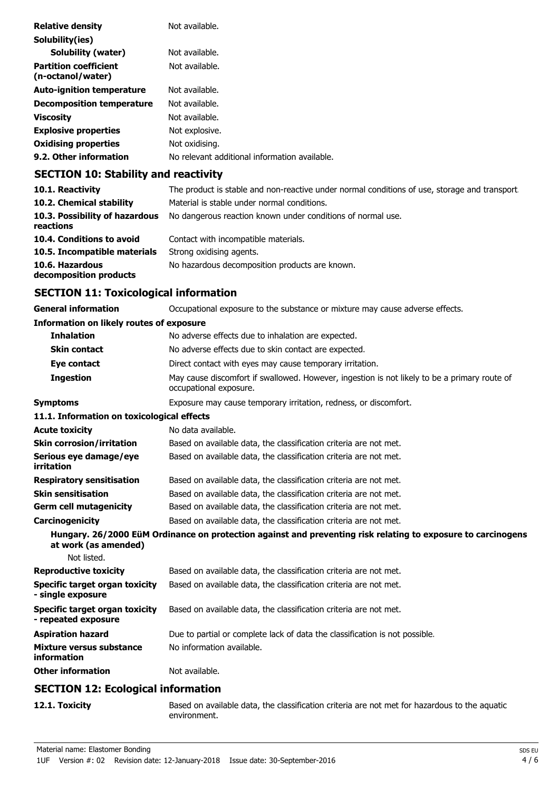| <b>Relative density</b>                           | Not available.                                |
|---------------------------------------------------|-----------------------------------------------|
| Solubility(ies)                                   |                                               |
| <b>Solubility (water)</b>                         | Not available.                                |
| <b>Partition coefficient</b><br>(n-octanol/water) | Not available.                                |
| <b>Auto-ignition temperature</b>                  | Not available.                                |
| <b>Decomposition temperature</b>                  | Not available.                                |
| <b>Viscosity</b>                                  | Not available.                                |
| <b>Explosive properties</b>                       | Not explosive.                                |
| <b>Oxidising properties</b>                       | Not oxidising.                                |
| 9.2. Other information                            | No relevant additional information available. |

## **SECTION 10: Stability and reactivity**

| 10.1. Reactivity                            | The product is stable and non-reactive under normal conditions of use, storage and transport |
|---------------------------------------------|----------------------------------------------------------------------------------------------|
| 10.2. Chemical stability                    | Material is stable under normal conditions.                                                  |
| 10.3. Possibility of hazardous<br>reactions | No dangerous reaction known under conditions of normal use.                                  |
| 10.4. Conditions to avoid                   | Contact with incompatible materials.                                                         |
| 10.5. Incompatible materials                | Strong oxidising agents.                                                                     |
| 10.6. Hazardous<br>decomposition products   | No hazardous decomposition products are known.                                               |

## **SECTION 11: Toxicological information**

**General information CCCUPATION** Occupational exposure to the substance or mixture may cause adverse effects.

## **Information on likely routes of exposure**

| <b>Inhalation</b>                                     | No adverse effects due to inhalation are expected.                                                                     |
|-------------------------------------------------------|------------------------------------------------------------------------------------------------------------------------|
| <b>Skin contact</b>                                   | No adverse effects due to skin contact are expected.                                                                   |
| Eye contact                                           | Direct contact with eyes may cause temporary irritation.                                                               |
| <b>Ingestion</b>                                      | May cause discomfort if swallowed. However, ingestion is not likely to be a primary route of<br>occupational exposure. |
| <b>Symptoms</b>                                       | Exposure may cause temporary irritation, redness, or discomfort.                                                       |
| 11.1. Information on toxicological effects            |                                                                                                                        |
| <b>Acute toxicity</b>                                 | No data available.                                                                                                     |
| <b>Skin corrosion/irritation</b>                      | Based on available data, the classification criteria are not met.                                                      |
| Serious eye damage/eye<br>irritation                  | Based on available data, the classification criteria are not met.                                                      |
| <b>Respiratory sensitisation</b>                      | Based on available data, the classification criteria are not met.                                                      |
| <b>Skin sensitisation</b>                             | Based on available data, the classification criteria are not met.                                                      |
| <b>Germ cell mutagenicity</b>                         | Based on available data, the classification criteria are not met.                                                      |
| Carcinogenicity                                       | Based on available data, the classification criteria are not met.                                                      |
| at work (as amended)                                  | Hungary. 26/2000 EüM Ordinance on protection against and preventing risk relating to exposure to carcinogens           |
| Not listed.                                           |                                                                                                                        |
| <b>Reproductive toxicity</b>                          | Based on available data, the classification criteria are not met.                                                      |
| Specific target organ toxicity<br>- single exposure   | Based on available data, the classification criteria are not met.                                                      |
| Specific target organ toxicity<br>- repeated exposure | Based on available data, the classification criteria are not met.                                                      |
| <b>Aspiration hazard</b>                              | Due to partial or complete lack of data the classification is not possible.                                            |
| Mixture versus substance<br>information               | No information available.                                                                                              |
| <b>Other information</b>                              | Not available.                                                                                                         |

## **SECTION 12: Ecological information**

**12.1. Toxicity** Based on available data, the classification criteria are not met for hazardous to the aquatic environment.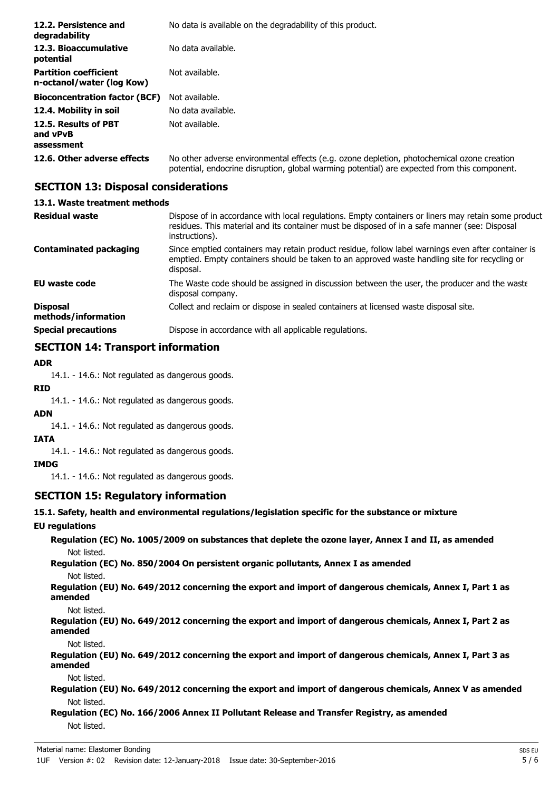| 12.2. Persistence and<br>degradability                    | No data is available on the degradability of this product.                                                                                                                                 |
|-----------------------------------------------------------|--------------------------------------------------------------------------------------------------------------------------------------------------------------------------------------------|
| 12.3. Bioaccumulative<br>potential                        | No data available.                                                                                                                                                                         |
| <b>Partition coefficient</b><br>n-octanol/water (log Kow) | Not available.                                                                                                                                                                             |
| <b>Bioconcentration factor (BCF)</b>                      | Not available.                                                                                                                                                                             |
| 12.4. Mobility in soil                                    | No data available.                                                                                                                                                                         |
| 12.5. Results of PBT<br>and vPvB<br>assessment            | Not available.                                                                                                                                                                             |
| 12.6. Other adverse effects                               | No other adverse environmental effects (e.g. ozone depletion, photochemical ozone creation<br>potential, endocrine disruption, global warming potential) are expected from this component. |

## **SECTION 13: Disposal considerations**

#### **13.1. Waste treatment methods**

| <b>Residual waste</b>                  | Dispose of in accordance with local regulations. Empty containers or liners may retain some product<br>residues. This material and its container must be disposed of in a safe manner (see: Disposal<br>instructions). |
|----------------------------------------|------------------------------------------------------------------------------------------------------------------------------------------------------------------------------------------------------------------------|
| <b>Contaminated packaging</b>          | Since emptied containers may retain product residue, follow label warnings even after container is<br>emptied. Empty containers should be taken to an approved waste handling site for recycling or<br>disposal.       |
| <b>EU waste code</b>                   | The Waste code should be assigned in discussion between the user, the producer and the waste<br>disposal company.                                                                                                      |
| <b>Disposal</b><br>methods/information | Collect and reclaim or dispose in sealed containers at licensed waste disposal site.                                                                                                                                   |
| <b>Special precautions</b>             | Dispose in accordance with all applicable regulations.                                                                                                                                                                 |

## **SECTION 14: Transport information**

## **ADR**

14.1. - 14.6.: Not regulated as dangerous goods.

**RID**

14.1. - 14.6.: Not regulated as dangerous goods.

#### **ADN**

14.1. - 14.6.: Not regulated as dangerous goods.

## **IATA**

14.1. - 14.6.: Not regulated as dangerous goods.

## **IMDG**

14.1. - 14.6.: Not regulated as dangerous goods.

## **SECTION 15: Regulatory information**

## **15.1. Safety, health and environmental regulations/legislation specific for the substance or mixture**

## **EU regulations**

**Regulation (EC) No. 1005/2009 on substances that deplete the ozone layer, Annex I and II, as amended** Not listed.

**Regulation (EC) No. 850/2004 On persistent organic pollutants, Annex I as amended** Not listed.

**Regulation (EU) No. 649/2012 concerning the export and import of dangerous chemicals, Annex I, Part 1 as amended**

Not listed.

**Regulation (EU) No. 649/2012 concerning the export and import of dangerous chemicals, Annex I, Part 2 as amended**

Not listed.

**Regulation (EU) No. 649/2012 concerning the export and import of dangerous chemicals, Annex I, Part 3 as amended**

Not listed.

**Regulation (EU) No. 649/2012 concerning the export and import of dangerous chemicals, Annex V as amended** Not listed.

## **Regulation (EC) No. 166/2006 Annex II Pollutant Release and Transfer Registry, as amended** Not listed.